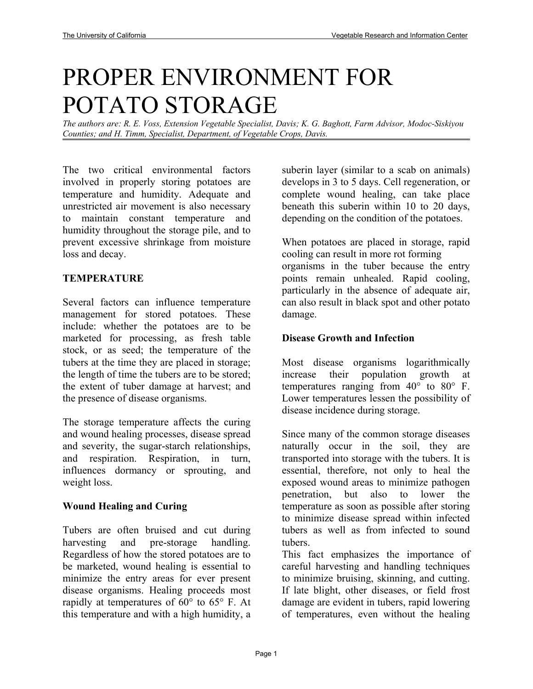# PROPER ENVIRONMENT FOR POTATO STORAGE

*The authors are: R. E. Voss, Extension Vegetable Specialist, Davis; K. G. Baghott, Farm Advisor, Modoc-Siskiyou Counties; and H. Timm, Specialist, Department, of Vegetable Crops, Davis.* 

The two critical environmental factors involved in properly storing potatoes are temperature and humidity. Adequate and unrestricted air movement is also necessary to maintain constant temperature and humidity throughout the storage pile, and to prevent excessive shrinkage from moisture loss and decay.

#### **TEMPERATURE**

Several factors can influence temperature management for stored potatoes. These include: whether the potatoes are to be marketed for processing, as fresh table stock, or as seed; the temperature of the tubers at the time they are placed in storage; the length of time the tubers are to be stored; the extent of tuber damage at harvest; and the presence of disease organisms.

The storage temperature affects the curing and wound healing processes, disease spread and severity, the sugar-starch relationships, and respiration. Respiration, in turn, influences dormancy or sprouting, and weight loss.

#### **Wound Healing and Curing**

Tubers are often bruised and cut during harvesting and pre-storage handling. Regardless of how the stored potatoes are to be marketed, wound healing is essential to minimize the entry areas for ever present disease organisms. Healing proceeds most rapidly at temperatures of  $60^{\circ}$  to  $65^{\circ}$  F. At this temperature and with a high humidity, a

suberin layer (similar to a scab on animals) develops in 3 to 5 days. Cell regeneration, or complete wound healing, can take place beneath this suberin within 10 to 20 days, depending on the condition of the potatoes.

When potatoes are placed in storage, rapid cooling can result in more rot forming organisms in the tuber because the entry points remain unhealed. Rapid cooling, particularly in the absence of adequate air, can also result in black spot and other potato damage.

#### **Disease Growth and Infection**

Most disease organisms logarithmically increase their population growth at temperatures ranging from  $40^{\circ}$  to  $80^{\circ}$  F. Lower temperatures lessen the possibility of disease incidence during storage.

Since many of the common storage diseases naturally occur in the soil, they are transported into storage with the tubers. It is essential, therefore, not only to heal the exposed wound areas to minimize pathogen penetration, but also to lower the temperature as soon as possible after storing to minimize disease spread within infected tubers as well as from infected to sound tubers.

This fact emphasizes the importance of careful harvesting and handling techniques to minimize bruising, skinning, and cutting. If late blight, other diseases, or field frost damage are evident in tubers, rapid lowering of temperatures, even without the healing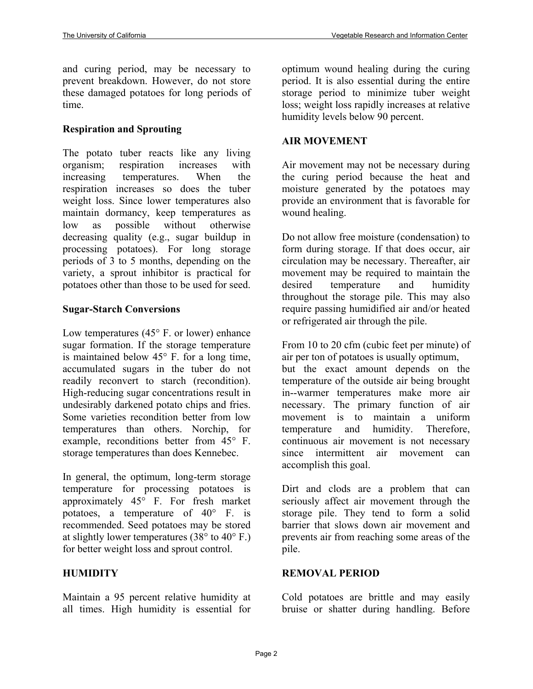and curing period, may be necessary to prevent breakdown. However, do not store these damaged potatoes for long periods of time.

# **Respiration and Sprouting**

The potato tuber reacts like any living organism; respiration increases with increasing temperatures. When the respiration increases so does the tuber weight loss. Since lower temperatures also maintain dormancy, keep temperatures as low as possible without otherwise decreasing quality (e.g., sugar buildup in processing potatoes). For long storage periods of 3 to 5 months, depending on the variety, a sprout inhibitor is practical for potatoes other than those to be used for seed.

# **Sugar-Starch Conversions**

Low temperatures (45° F. or lower) enhance sugar formation. If the storage temperature is maintained below 45° F. for a long time, accumulated sugars in the tuber do not readily reconvert to starch (recondition). High-reducing sugar concentrations result in undesirably darkened potato chips and fries. Some varieties recondition better from low temperatures than others. Norchip, for example, reconditions better from 45° F. storage temperatures than does Kennebec.

In general, the optimum, long-term storage temperature for processing potatoes is approximately 45° F. For fresh market potatoes, a temperature of 40° F. is recommended. Seed potatoes may be stored at slightly lower temperatures (38 $\degree$  to 40 $\degree$  F.) for better weight loss and sprout control.

# **HUMIDITY**

Maintain a 95 percent relative humidity at all times. High humidity is essential for

optimum wound healing during the curing period. It is also essential during the entire storage period to minimize tuber weight loss; weight loss rapidly increases at relative humidity levels below 90 percent.

# **AIR MOVEMENT**

Air movement may not be necessary during the curing period because the heat and moisture generated by the potatoes may provide an environment that is favorable for wound healing.

Do not allow free moisture (condensation) to form during storage. If that does occur, air circulation may be necessary. Thereafter, air movement may be required to maintain the desired temperature and humidity throughout the storage pile. This may also require passing humidified air and/or heated or refrigerated air through the pile.

From 10 to 20 cfm (cubic feet per minute) of air per ton of potatoes is usually optimum, but the exact amount depends on the temperature of the outside air being brought in--warmer temperatures make more air necessary. The primary function of air movement is to maintain a uniform temperature and humidity. Therefore, continuous air movement is not necessary since intermittent air movement can accomplish this goal.

Dirt and clods are a problem that can seriously affect air movement through the storage pile. They tend to form a solid barrier that slows down air movement and prevents air from reaching some areas of the pile.

# **REMOVAL PERIOD**

Cold potatoes are brittle and may easily bruise or shatter during handling. Before